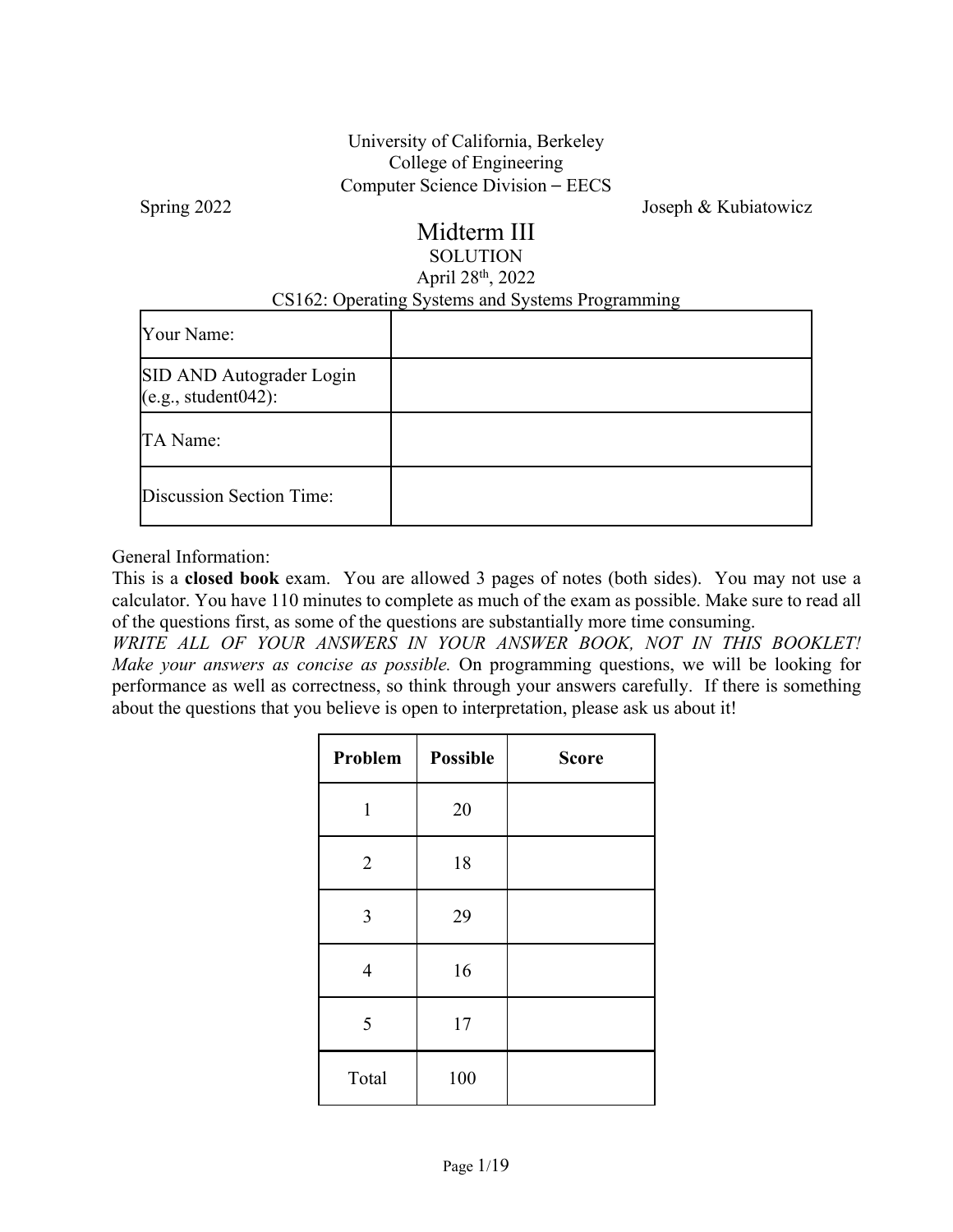### University of California, Berkeley College of Engineering Computer Science Division - EECS

Spring 2022 Joseph & Kubiatowicz

### Midterm III

### **SOLUTION** April 28th, 2022

### CS162: Operating Systems and Systems Programming

| Your Name:                                      |  |
|-------------------------------------------------|--|
| SID AND Autograder Login<br>(e.g., student042): |  |
| TA Name:                                        |  |
| Discussion Section Time:                        |  |

General Information:

This is a **closed book** exam. You are allowed 3 pages of notes (both sides). You may not use a calculator. You have 110 minutes to complete as much of the exam as possible. Make sure to read all of the questions first, as some of the questions are substantially more time consuming.

*WRITE ALL OF YOUR ANSWERS IN YOUR ANSWER BOOK, NOT IN THIS BOOKLET! Make your answers as concise as possible.* On programming questions, we will be looking for performance as well as correctness, so think through your answers carefully. If there is something about the questions that you believe is open to interpretation, please ask us about it!

| Problem        | <b>Possible</b> | <b>Score</b> |
|----------------|-----------------|--------------|
| 1              | 20              |              |
| $\overline{2}$ | 18              |              |
| 3              | 29              |              |
| $\overline{4}$ | 16              |              |
| 5              | 17              |              |
| Total          | 100             |              |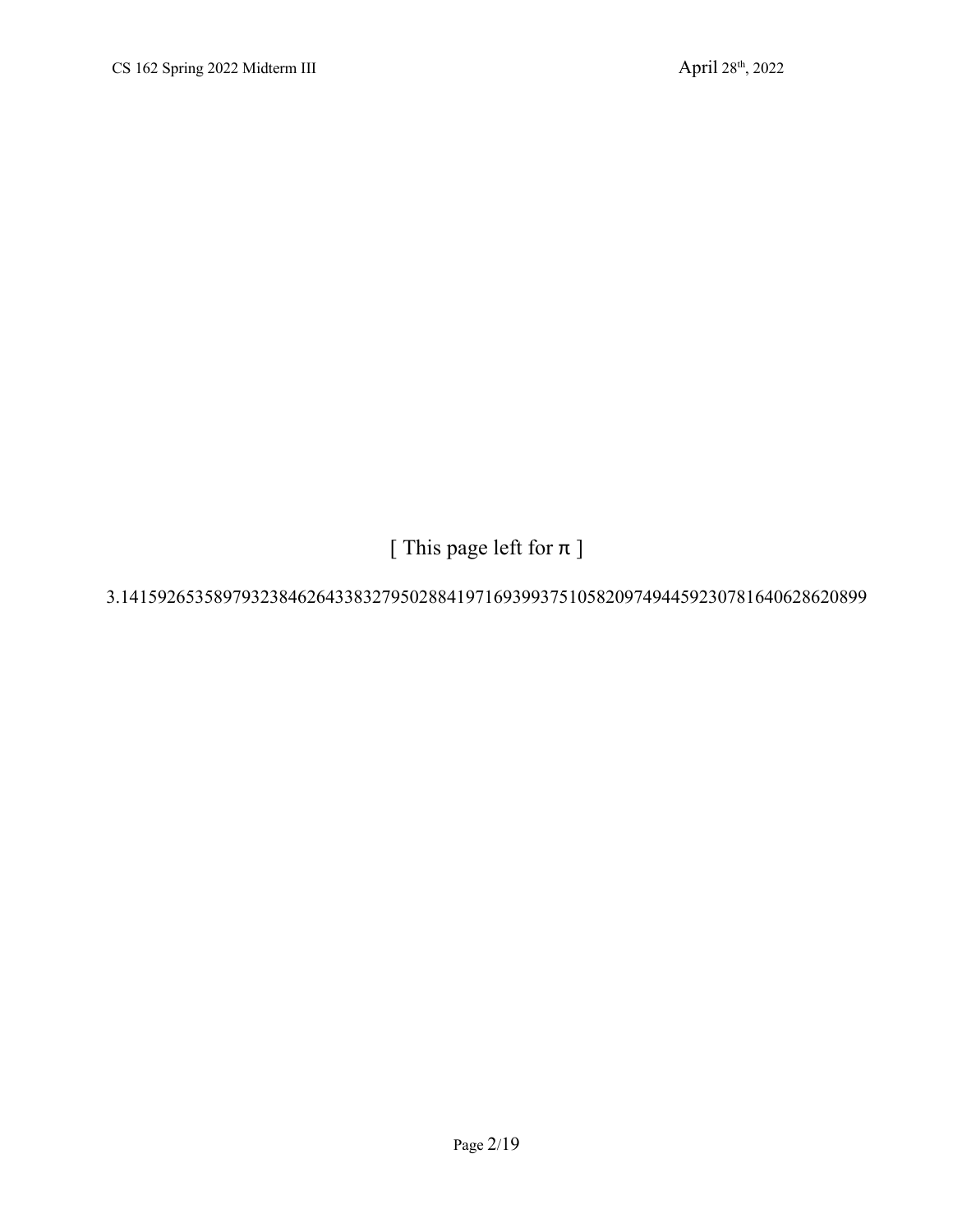[ This page left for π ]

### 3.14159265358979323846264338327950288419716939937510582097494459230781640628620899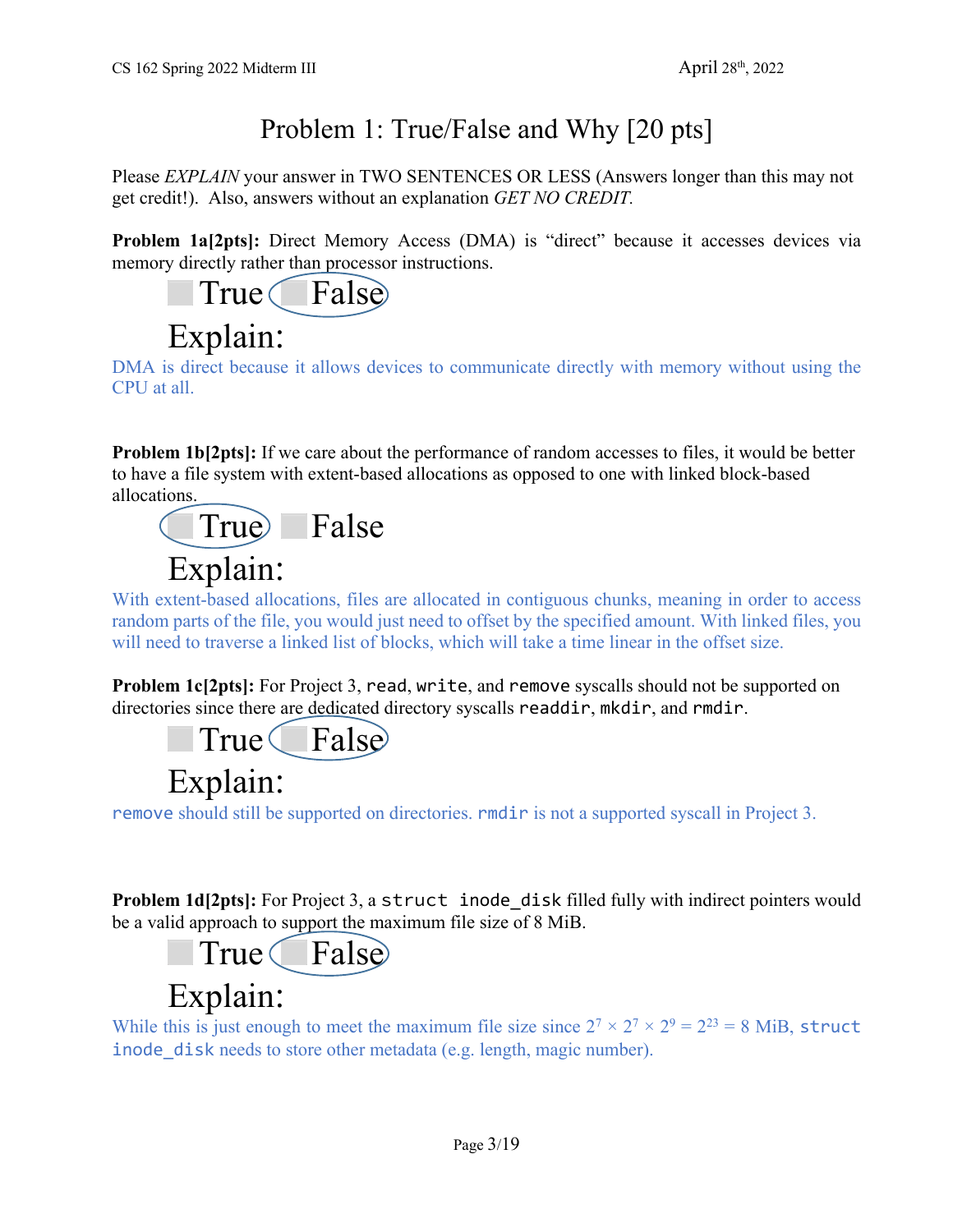## Problem 1: True/False and Why [20 pts]

Please *EXPLAIN* your answer in TWO SENTENCES OR LESS (Answers longer than this may not get credit!). Also, answers without an explanation *GET NO CREDIT.*

**Problem 1a[2pts]:** Direct Memory Access (DMA) is "direct" because it accesses devices via memory directly rather than processor instructions.

⬜ True ⬜ False

## Explain:

DMA is direct because it allows devices to communicate directly with memory without using the CPU at all.

**Problem 1b[2pts]:** If we care about the performance of random accesses to files, it would be better to have a file system with extent-based allocations as opposed to one with linked block-based allocations.



With extent-based allocations, files are allocated in contiguous chunks, meaning in order to access random parts of the file, you would just need to offset by the specified amount. With linked files, you will need to traverse a linked list of blocks, which will take a time linear in the offset size.

**Problem 1c[2pts]:** For Project 3, read, write, and remove syscalls should not be supported on directories since there are dedicated directory syscalls readdir, mkdir, and rmdir.

**□ True ← False** 

# Explain:

remove should still be supported on directories. rmdir is not a supported syscall in Project 3.

**Problem 1d[2pts]:** For Project 3, a struct inode disk filled fully with indirect pointers would be a valid approach to support the maximum file size of 8 MiB.



## Explain:

While this is just enough to meet the maximum file size since  $2^7 \times 2^7 \times 2^9 = 2^{23} = 8$  MiB, struct inode disk needs to store other metadata (e.g. length, magic number).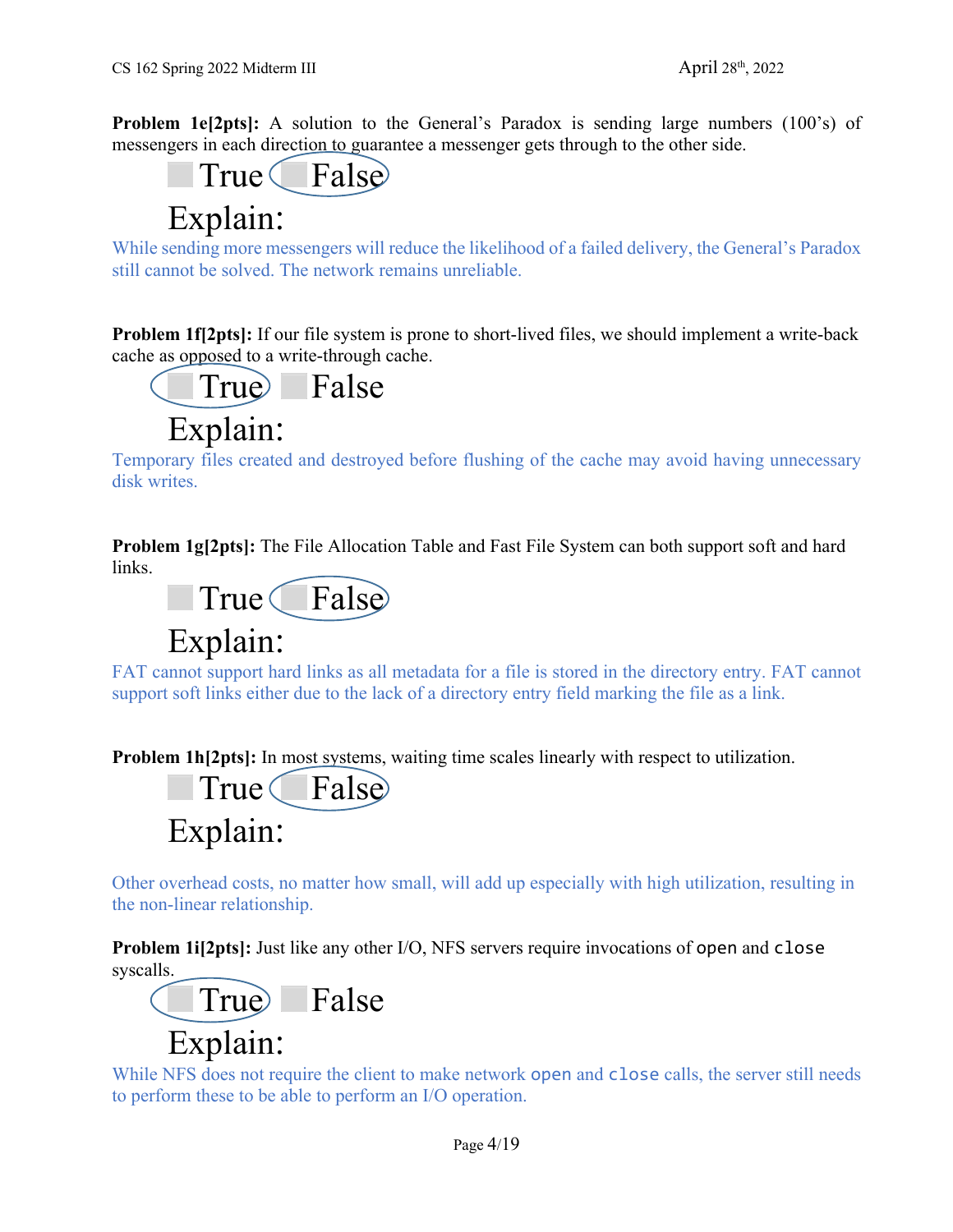**Problem 1e[2pts]:** A solution to the General's Paradox is sending large numbers (100's) of messengers in each direction to guarantee a messenger gets through to the other side.



While sending more messengers will reduce the likelihood of a failed delivery, the General's Paradox still cannot be solved. The network remains unreliable.

**Problem 1f[2pts]:** If our file system is prone to short-lived files, we should implement a write-back cache as opposed to a write-through cache.



Temporary files created and destroyed before flushing of the cache may avoid having unnecessary disk writes.

**Problem 1g[2pts]:** The File Allocation Table and Fast File System can both support soft and hard links.



FAT cannot support hard links as all metadata for a file is stored in the directory entry. FAT cannot support soft links either due to the lack of a directory entry field marking the file as a link.

**Problem 1h[2pts]:** In most systems, waiting time scales linearly with respect to utilization.



Other overhead costs, no matter how small, will add up especially with high utilization, resulting in the non-linear relationship.

**Problem 1i[2pts]:** Just like any other I/O, NFS servers require invocations of open and close syscalls.



While NFS does not require the client to make network open and close calls, the server still needs to perform these to be able to perform an I/O operation.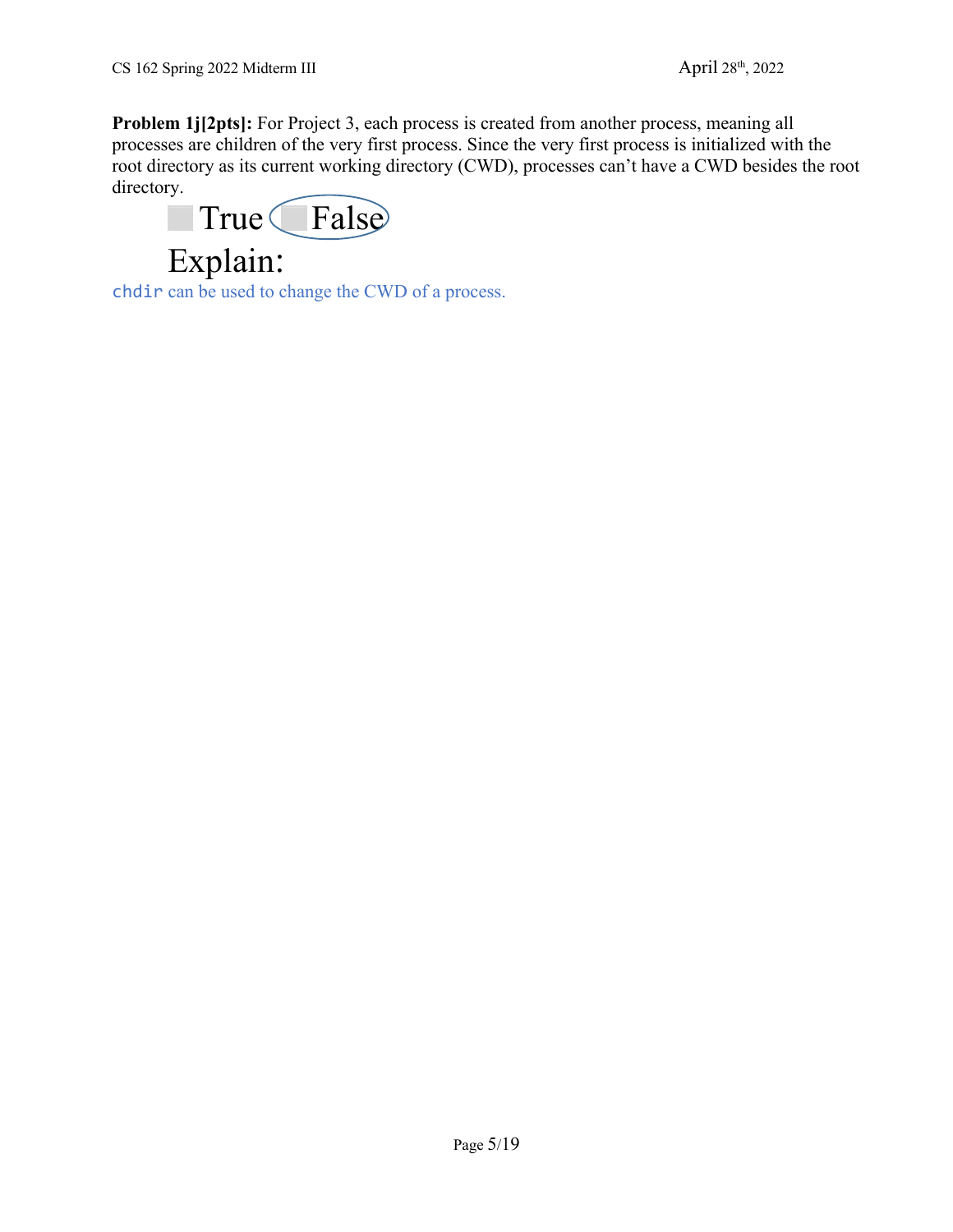**Problem 1j[2pts]:** For Project 3, each process is created from another process, meaning all processes are children of the very first process. Since the very first process is initialized with the root directory as its current working directory (CWD), processes can't have a CWD besides the root directory.

**□ True ← False** 

Explain:

chdir can be used to change the CWD of a process.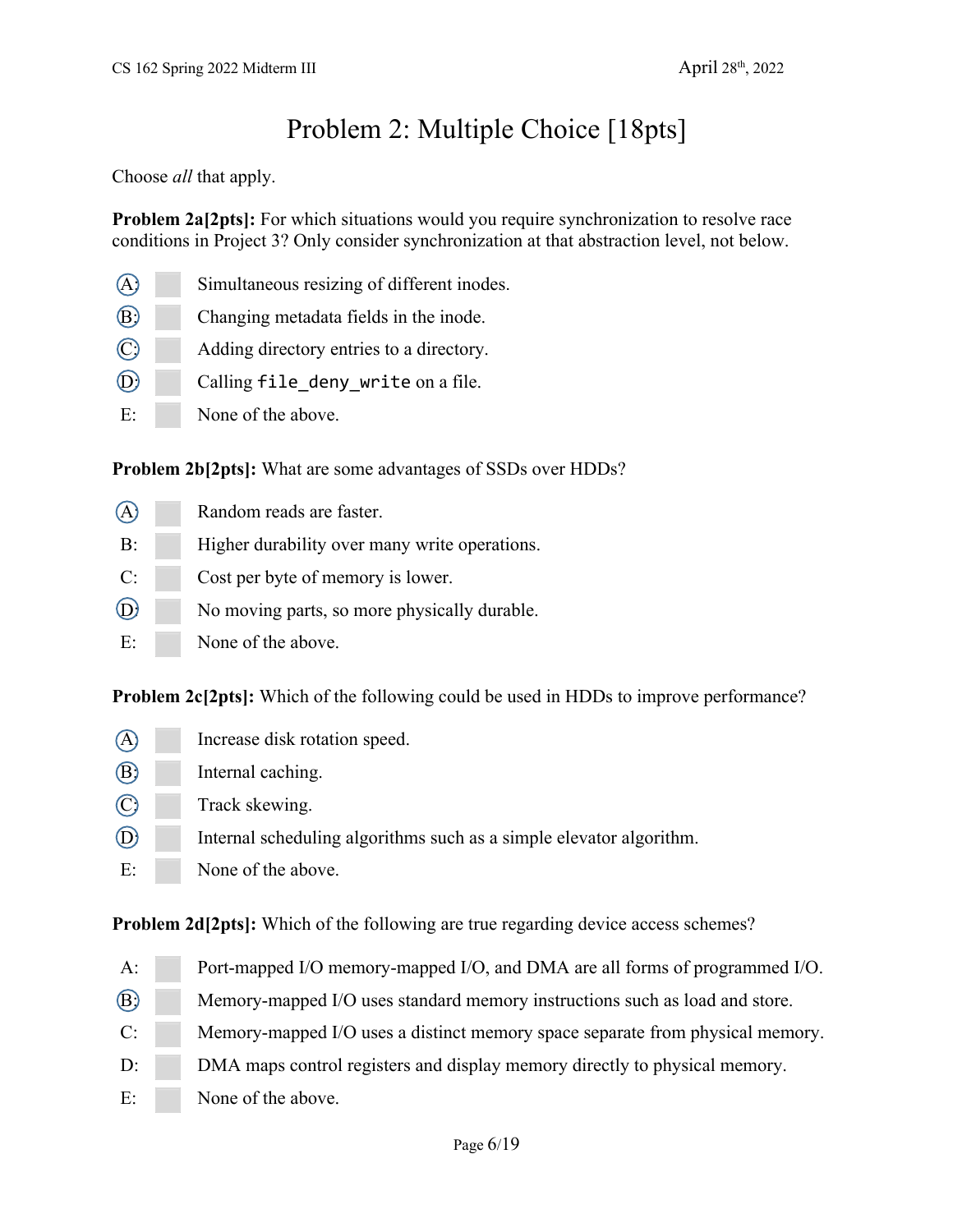## Problem 2: Multiple Choice [18pts]

Choose *all* that apply.

**Problem 2a[2pts]:** For which situations would you require synchronization to resolve race conditions in Project 3? Only consider synchronization at that abstraction level, not below.

- (A) Simultaneous resizing of different inodes.
- B: Changing metadata fields in the inode.
- C: ⬜ Adding directory entries to a directory.
- $\overline{D}$  Calling file deny write on a file.
- E: None of the above.

**Problem 2b[2pts]:** What are some advantages of SSDs over HDDs?

(A) Random reads are faster. B: Higher durability over many write operations. C: Cost per byte of memory is lower. D: No moving parts, so more physically durable. E: None of the above.

**Problem 2c[2pts]:** Which of the following could be used in HDDs to improve performance?

- (A) Increase disk rotation speed.
- B: ⬜ Internal caching.
- C: Track skewing.
- D: ⬜ Internal scheduling algorithms such as a simple elevator algorithm.
- E: None of the above.

**Problem 2d[2pts]:** Which of the following are true regarding device access schemes?

- A: Port-mapped I/O memory-mapped I/O, and DMA are all forms of programmed I/O.
- B: ⬜ Memory-mapped I/O uses standard memory instructions such as load and store.
- C: Memory-mapped I/O uses a distinct memory space separate from physical memory.
- D: DMA maps control registers and display memory directly to physical memory.
- E: None of the above.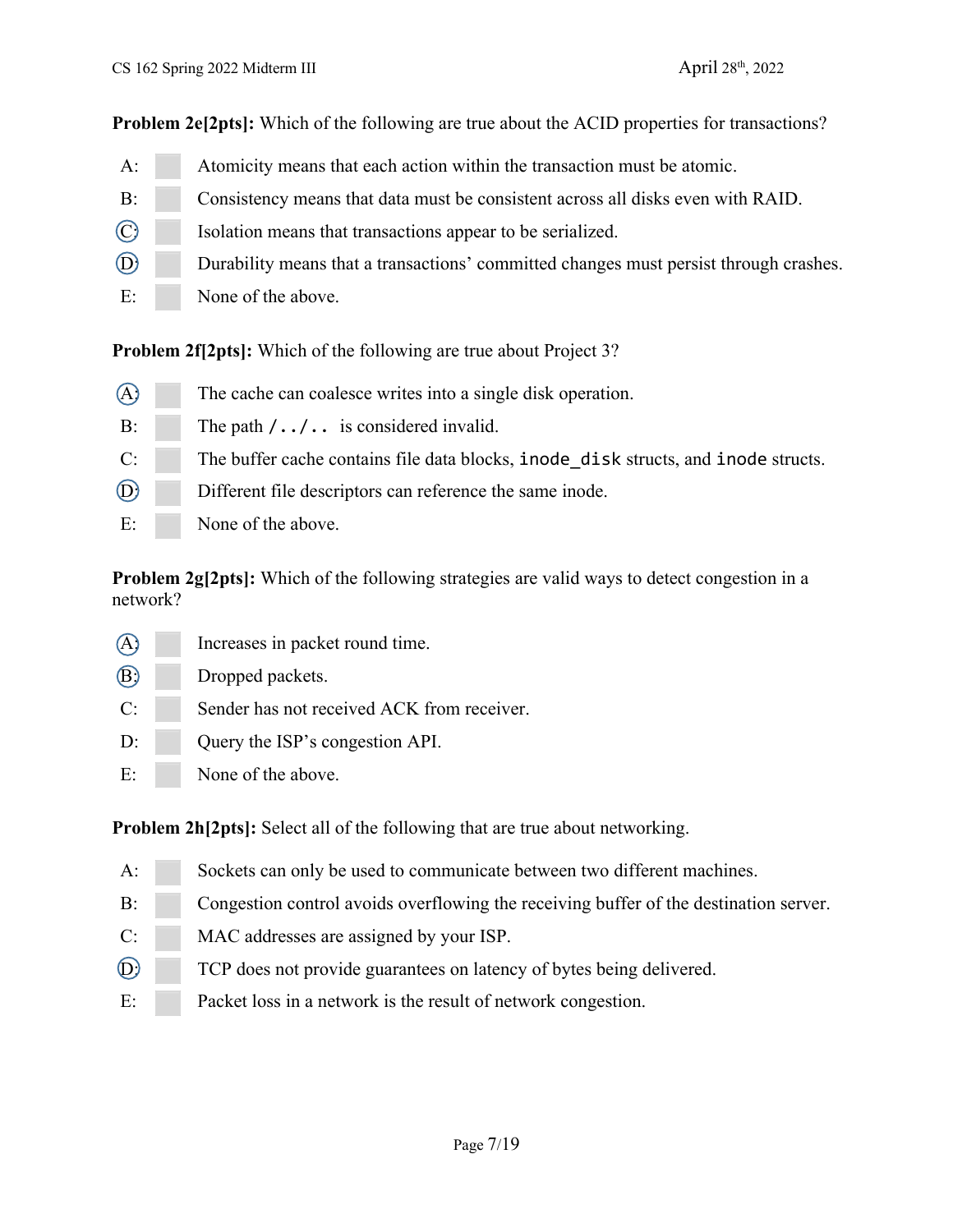**Problem 2e[2pts]:** Which of the following are true about the ACID properties for transactions?

- A: ⬜ Atomicity means that each action within the transaction must be atomic.
- B: Consistency means that data must be consistent across all disks even with RAID.
- C: ⬜ Isolation means that transactions appear to be serialized.
- D: Durability means that a transactions' committed changes must persist through crashes.
- E: None of the above.

**Problem 2f<sup>[2pts]</sup>:** Which of the following are true about Project 3?

- A: ⬜ The cache can coalesce writes into a single disk operation.
- B: The path  $/ \ldots / \ldots$  is considered invalid.
- C: The buffer cache contains file data blocks, inode\_disk structs, and inode structs.
- D: ⬜ Different file descriptors can reference the same inode.
- E: None of the above.

**Problem 2g[2pts]:** Which of the following strategies are valid ways to detect congestion in a network?

- A: ⬜ Increases in packet round time.
- B: Dropped packets.
- C: Sender has not received ACK from receiver.
- D: Query the ISP's congestion API.
- E: None of the above.

**Problem 2h[2pts]:** Select all of the following that are true about networking.

- A: Sockets can only be used to communicate between two different machines.
- B: Congestion control avoids overflowing the receiving buffer of the destination server.
- C: MAC addresses are assigned by your ISP.
- D: ⬜ TCP does not provide guarantees on latency of bytes being delivered.
- E: Packet loss in a network is the result of network congestion.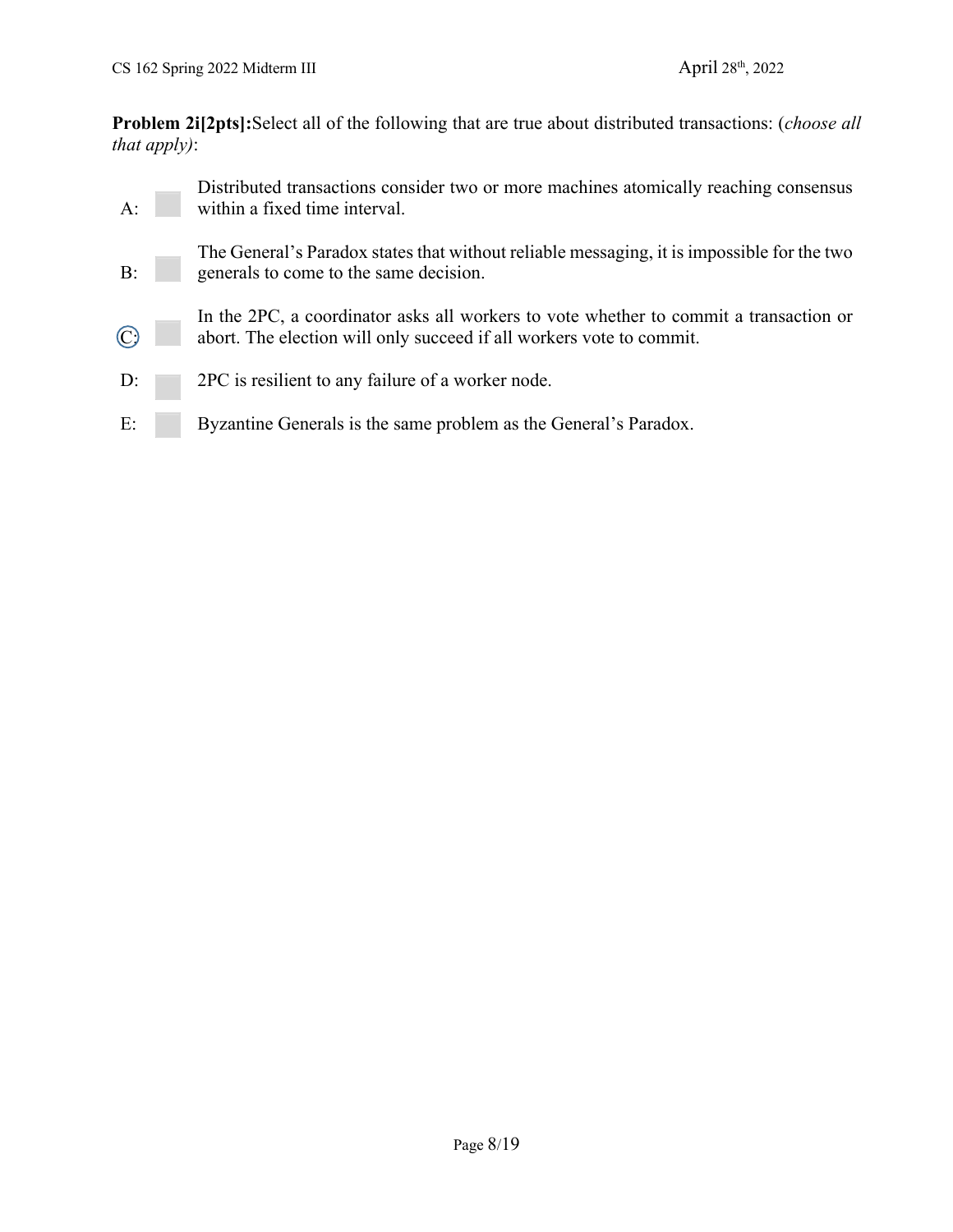**Problem 2i[2pts]:**Select all of the following that are true about distributed transactions: (*choose all that apply)*:

Distributed transactions consider two or more machines atomically reaching consensus<br>within a fixed time interval. within a fixed time interval. The General's Paradox states that without reliable messaging, it is impossible for the two<br>generals to come to the same decision. generals to come to the same decision. In the 2PC, a coordinator asks all workers to vote whether to commit a transaction or abort. The election will only succeed if all workers vote to commit. abort. The election will only succeed if all workers vote to commit. D: **2PC** is resilient to any failure of a worker node. E: Byzantine Generals is the same problem as the General's Paradox.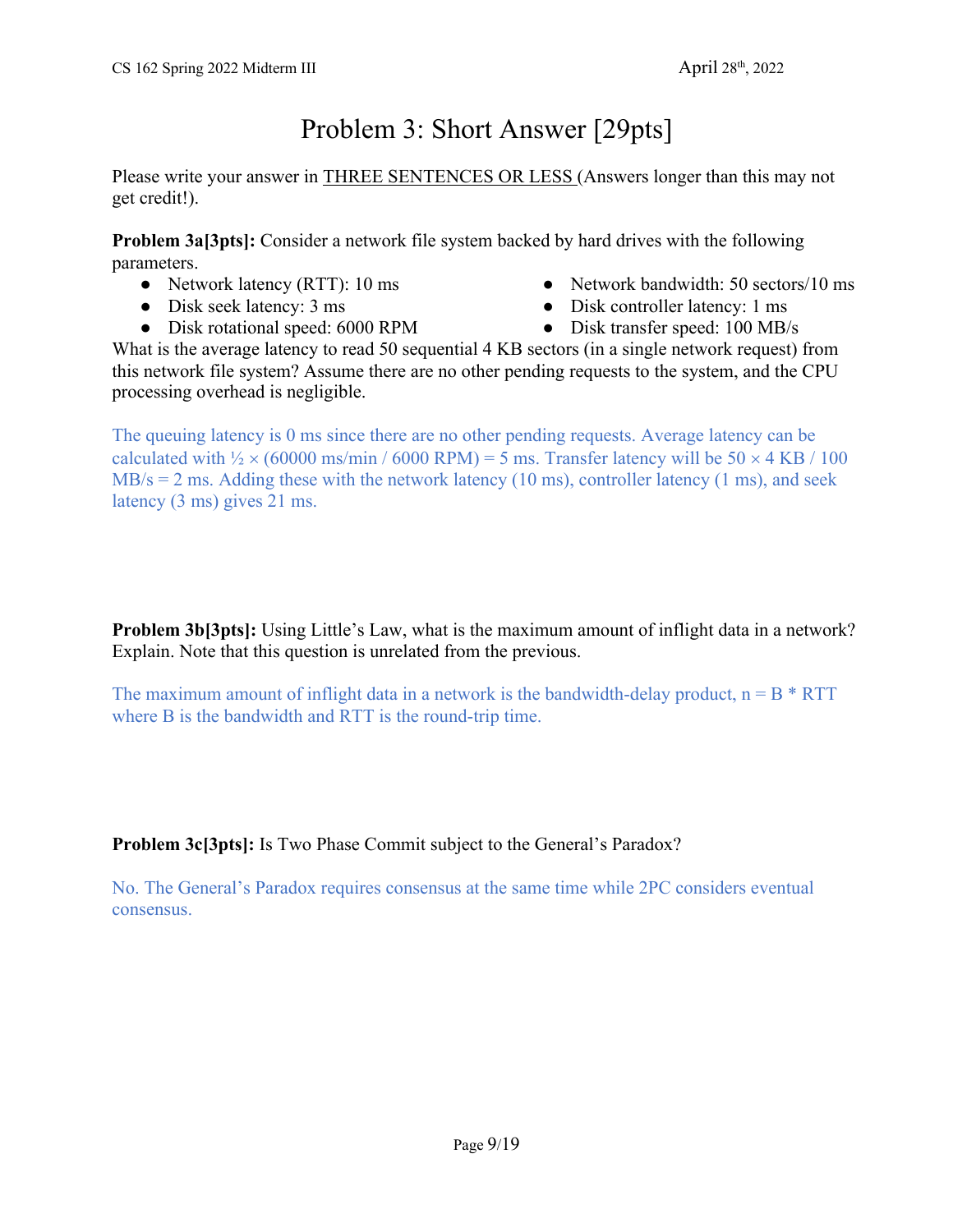## Problem 3: Short Answer [29pts]

Please write your answer in **THREE SENTENCES OR LESS** (Answers longer than this may not get credit!).

**Problem 3a[3pts]:** Consider a network file system backed by hard drives with the following parameters.

- Network latency (RTT):  $10 \text{ ms}$
- Disk seek latency: 3 ms
- Disk rotational speed: 6000 RPM
- Network bandwidth: 50 sectors/10 ms
- Disk controller latency: 1 ms
- Disk transfer speed: 100 MB/s

What is the average latency to read 50 sequential 4 KB sectors (in a single network request) from this network file system? Assume there are no other pending requests to the system, and the CPU processing overhead is negligible.

The queuing latency is 0 ms since there are no other pending requests. Average latency can be calculated with  $\frac{1}{2} \times (60000 \text{ ms/min} / 6000 \text{ RPM}) = 5 \text{ ms}$ . Transfer latency will be  $50 \times 4 \text{ KB} / 100$  $MB/s = 2$  ms. Adding these with the network latency (10 ms), controller latency (1 ms), and seek latency (3 ms) gives 21 ms.

**Problem 3b[3pts]:** Using Little's Law, what is the maximum amount of inflight data in a network? Explain. Note that this question is unrelated from the previous.

The maximum amount of inflight data in a network is the bandwidth-delay product,  $n = B * RTT$ where B is the bandwidth and RTT is the round-trip time.

**Problem 3c[3pts]:** Is Two Phase Commit subject to the General's Paradox?

No. The General's Paradox requires consensus at the same time while 2PC considers eventual consensus.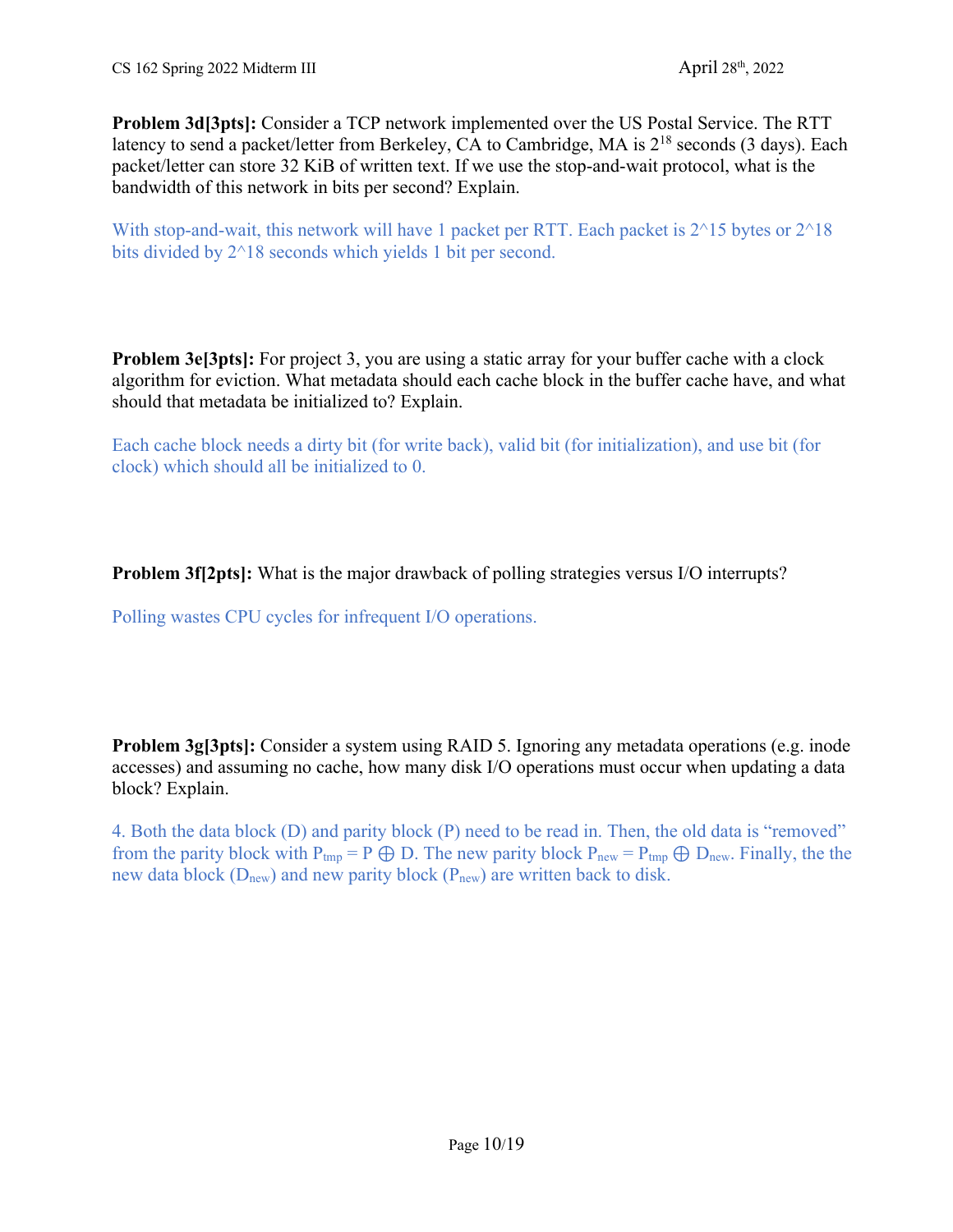**Problem 3d[3pts]:** Consider a TCP network implemented over the US Postal Service. The RTT latency to send a packet/letter from Berkeley, CA to Cambridge, MA is 218 seconds (3 days). Each packet/letter can store 32 KiB of written text. If we use the stop-and-wait protocol, what is the bandwidth of this network in bits per second? Explain.

With stop-and-wait, this network will have 1 packet per RTT. Each packet is  $2^{\wedge}15$  bytes or  $2^{\wedge}18$ bits divided by 2^18 seconds which yields 1 bit per second.

**Problem 3e[3pts]:** For project 3, you are using a static array for your buffer cache with a clock algorithm for eviction. What metadata should each cache block in the buffer cache have, and what should that metadata be initialized to? Explain.

Each cache block needs a dirty bit (for write back), valid bit (for initialization), and use bit (for clock) which should all be initialized to 0.

**Problem 3f[2pts]:** What is the major drawback of polling strategies versus I/O interrupts?

Polling wastes CPU cycles for infrequent I/O operations.

**Problem 3g[3pts]:** Consider a system using RAID 5. Ignoring any metadata operations (e.g. inode accesses) and assuming no cache, how many disk I/O operations must occur when updating a data block? Explain.

4. Both the data block (D) and parity block (P) need to be read in. Then, the old data is "removed" from the parity block with  $P_{tmp} = P \oplus D$ . The new parity block  $P_{new} = P_{tmp} \oplus D_{new}$ . Finally, the the new data block  $(D_{new})$  and new parity block  $(P_{new})$  are written back to disk.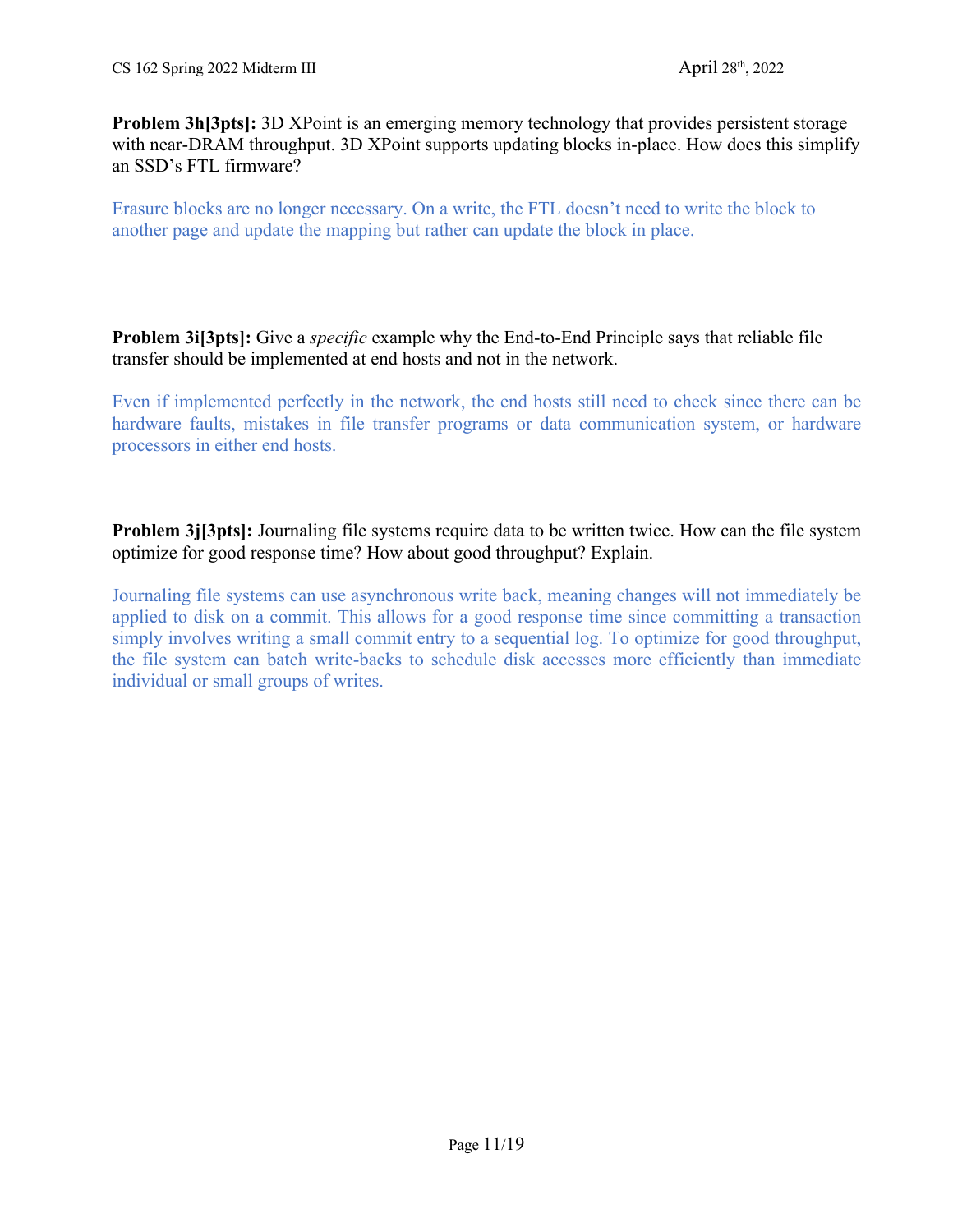**Problem 3h[3pts]:** 3D XPoint is an emerging memory technology that provides persistent storage with near-DRAM throughput. 3D XPoint supports updating blocks in-place. How does this simplify an SSD's FTL firmware?

Erasure blocks are no longer necessary. On a write, the FTL doesn't need to write the block to another page and update the mapping but rather can update the block in place.

**Problem 3i[3pts]:** Give a *specific* example why the End-to-End Principle says that reliable file transfer should be implemented at end hosts and not in the network.

Even if implemented perfectly in the network, the end hosts still need to check since there can be hardware faults, mistakes in file transfer programs or data communication system, or hardware processors in either end hosts.

**Problem 3j**[3pts]: Journaling file systems require data to be written twice. How can the file system optimize for good response time? How about good throughput? Explain.

Journaling file systems can use asynchronous write back, meaning changes will not immediately be applied to disk on a commit. This allows for a good response time since committing a transaction simply involves writing a small commit entry to a sequential log. To optimize for good throughput, the file system can batch write-backs to schedule disk accesses more efficiently than immediate individual or small groups of writes.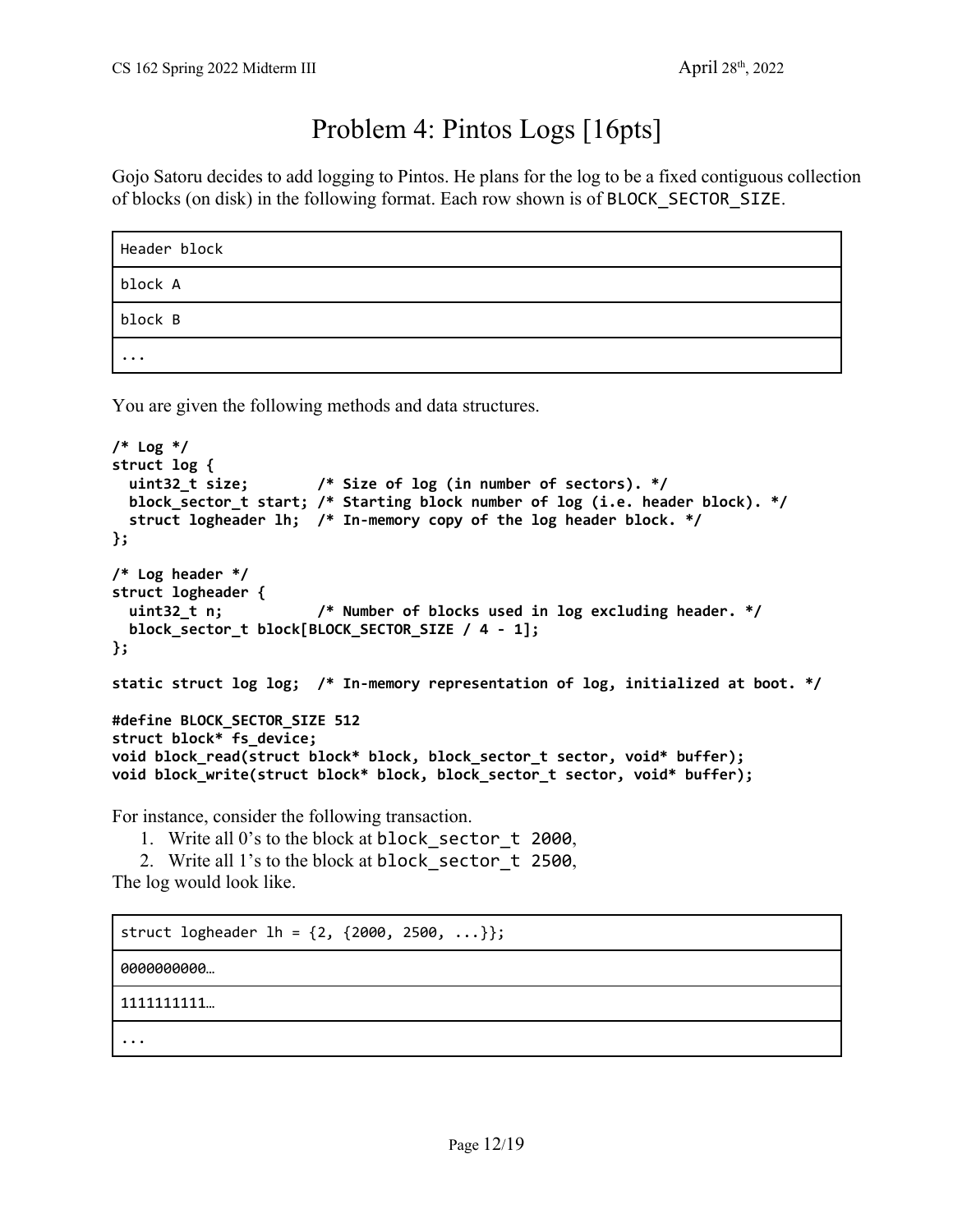## Problem 4: Pintos Logs [16pts]

Gojo Satoru decides to add logging to Pintos. He plans for the log to be a fixed contiguous collection of blocks (on disk) in the following format. Each row shown is of BLOCK\_SECTOR\_SIZE.

| Header block |  |
|--------------|--|
| block A      |  |
| block B      |  |
| $\cdots$     |  |

You are given the following methods and data structures.

```
/* Log */
struct log { 
  uint32_t size; /* Size of log (in number of sectors). */
  block_sector_t start; /* Starting block number of log (i.e. header block). */
  struct logheader lh; /* In-memory copy of the log header block. */
};
/* Log header */ 
struct logheader { 
  uint32_t n; /* Number of blocks used in log excluding header. */
  block_sector_t block[BLOCK_SECTOR_SIZE / 4 - 1];
};
static struct log log; /* In-memory representation of log, initialized at boot. */
#define BLOCK_SECTOR_SIZE 512
struct block* fs_device;
void block_read(struct block* block, block_sector_t sector, void* buffer);
void block_write(struct block* block, block_sector_t sector, void* buffer);
```
For instance, consider the following transaction.

1. Write all 0's to the block at block sector t 2000, 2. Write all 1's to the block at block\_sector\_t 2500, The log would look like.

```
struct logheader lh = \{2, \{2000, 2500, ...\} \};
0000000000…
1111111111…
...
```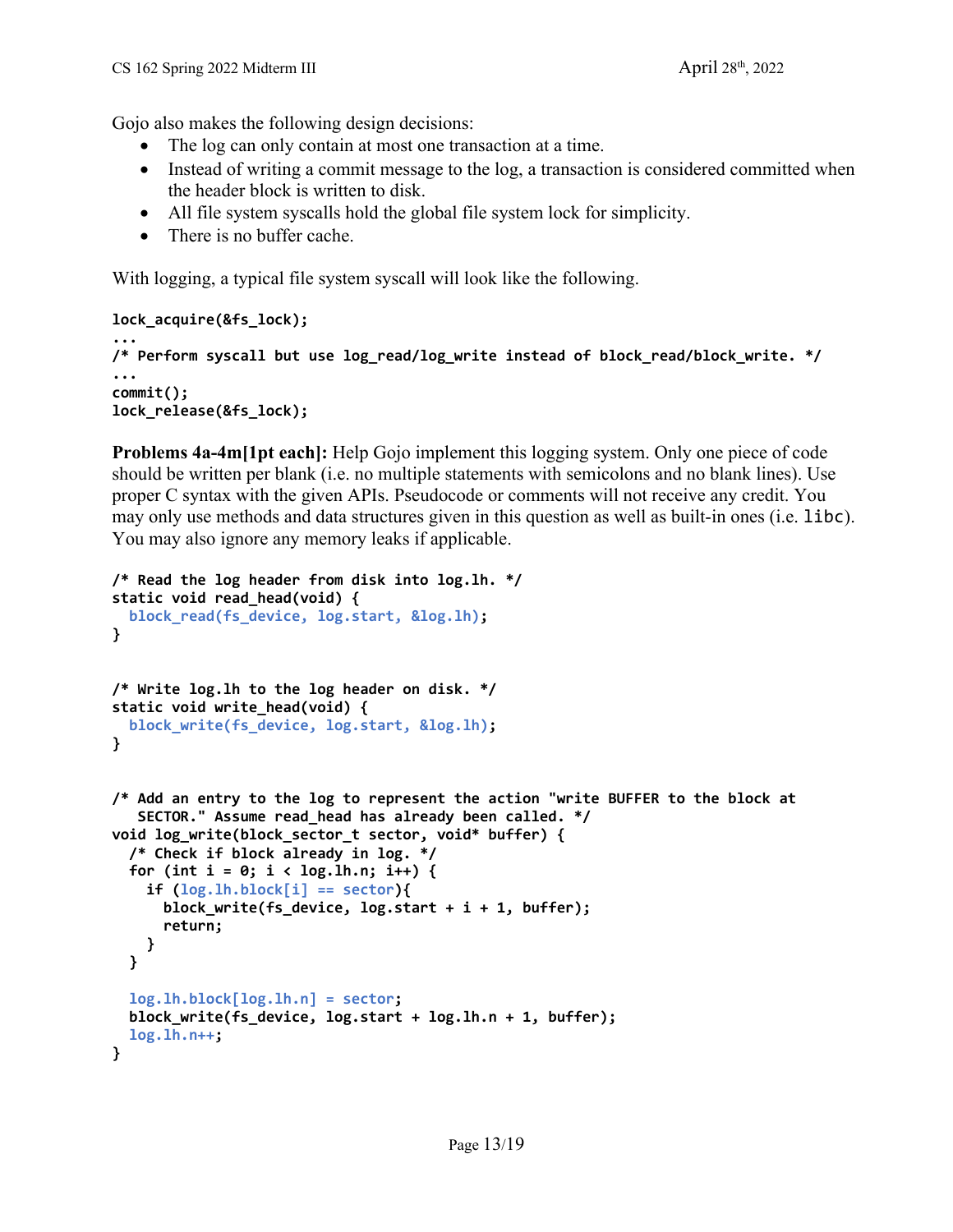Gojo also makes the following design decisions:

- The log can only contain at most one transaction at a time.
- Instead of writing a commit message to the log, a transaction is considered committed when the header block is written to disk.
- All file system syscalls hold the global file system lock for simplicity.
- There is no buffer cache.

With logging, a typical file system syscall will look like the following.

```
lock_acquire(&fs_lock);
...
/* Perform syscall but use log_read/log_write instead of block_read/block_write. */
...
commit();
lock_release(&fs_lock);
```
**Problems 4a-4m[1pt each]:** Help Gojo implement this logging system. Only one piece of code should be written per blank (i.e. no multiple statements with semicolons and no blank lines). Use proper C syntax with the given APIs. Pseudocode or comments will not receive any credit. You may only use methods and data structures given in this question as well as built-in ones (i.e. libc). You may also ignore any memory leaks if applicable.

```
/* Read the log header from disk into log.lh. */ 
static void read_head(void) { 
   block_read(fs_device, log.start, &log.lh);
}
/* Write log.lh to the log header on disk. */
static void write_head(void) { 
   block_write(fs_device, log.start, &log.lh); 
}
/* Add an entry to the log to represent the action "write BUFFER to the block at
    SECTOR." Assume read_head has already been called. */
void log_write(block_sector_t sector, void* buffer) { 
   /* Check if block already in log. */ 
   for (int i = 0; i < log.lh.n; i++) { 
     if (log.lh.block[i] == sector){ 
       block_write(fs_device, log.start + i + 1, buffer); 
       return; 
     } 
   } 
   log.lh.block[log.lh.n] = sector;
   block_write(fs_device, log.start + log.lh.n + 1, buffer); 
   log.lh.n++;
}
```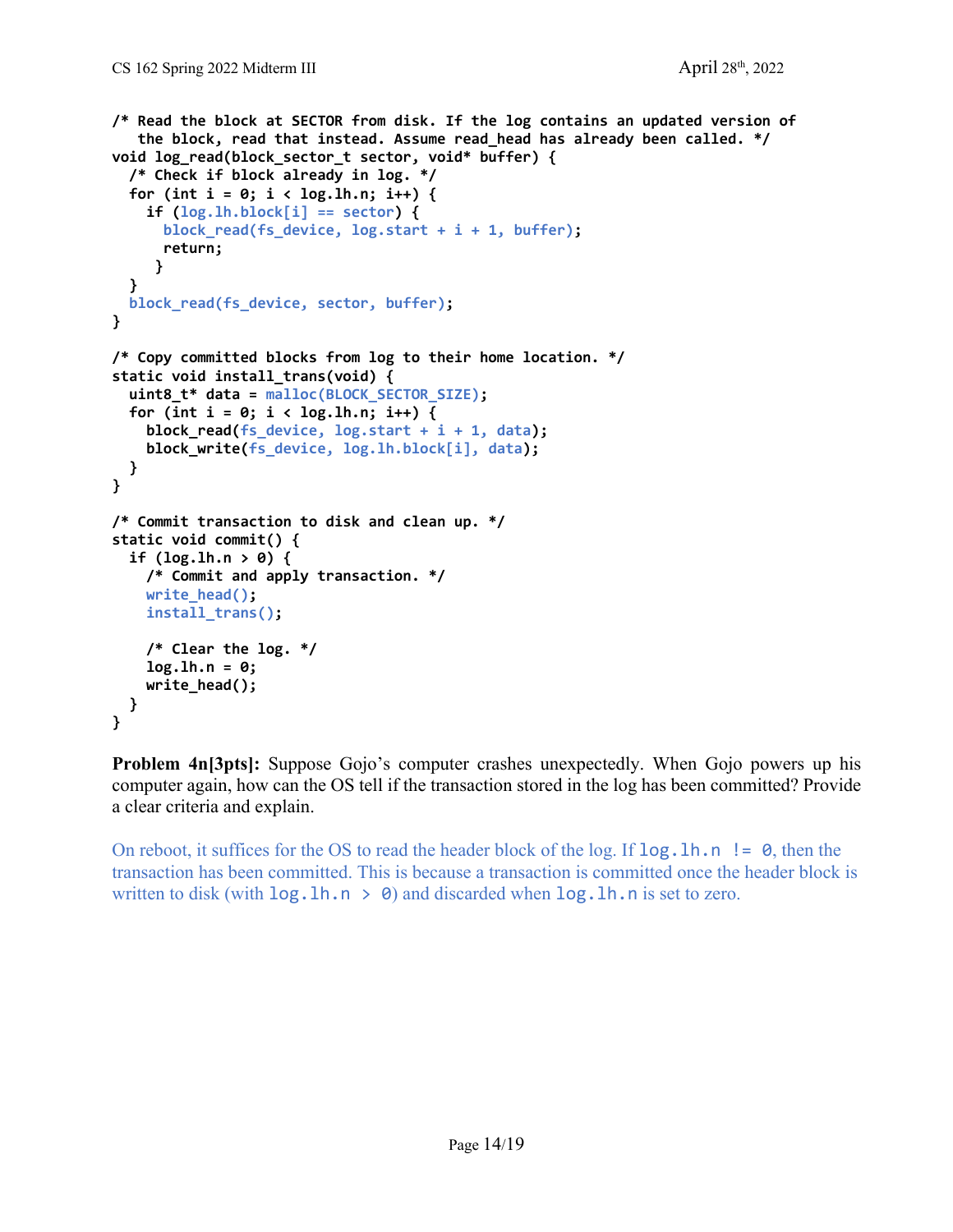```
/* Read the block at SECTOR from disk. If the log contains an updated version of
    the block, read that instead. Assume read_head has already been called. */
void log_read(block_sector_t sector, void* buffer) { 
  /* Check if block already in log. */ 
   for (int i = 0; i < log.lh.n; i++) { 
     if (log.lh.block[i] == sector) {
       block_read(fs_device, log.start + i + 1, buffer);
       return; 
      } 
 }
  block_read(fs_device, sector, buffer);
}
/* Copy committed blocks from log to their home location. */ 
static void install_trans(void) { 
   uint8_t* data = malloc(BLOCK_SECTOR_SIZE);
  for (\bar{1}nt \; i = 0; \; i < log.h.n; \; i++) {
     block_read(fs_device, log.start + i + 1, data); 
     block_write(fs_device, log.lh.block[i], data); 
   }
} 
/* Commit transaction to disk and clean up. */ 
static void commit() { 
   if (log.lh.n > 0) {
     /* Commit and apply transaction. */
     write_head();
     install_trans();
     /* Clear the log. */
     log.lh.n = 0; 
     write_head();
  } 
}
```
**Problem 4n[3pts]:** Suppose Gojo's computer crashes unexpectedly. When Gojo powers up his computer again, how can the OS tell if the transaction stored in the log has been committed? Provide a clear criteria and explain.

On reboot, it suffices for the OS to read the header block of the log. If  $\log_l \ln n$  != 0, then the transaction has been committed. This is because a transaction is committed once the header block is written to disk (with  $log.lh.n > 0$ ) and discarded when  $log.lh.n$  is set to zero.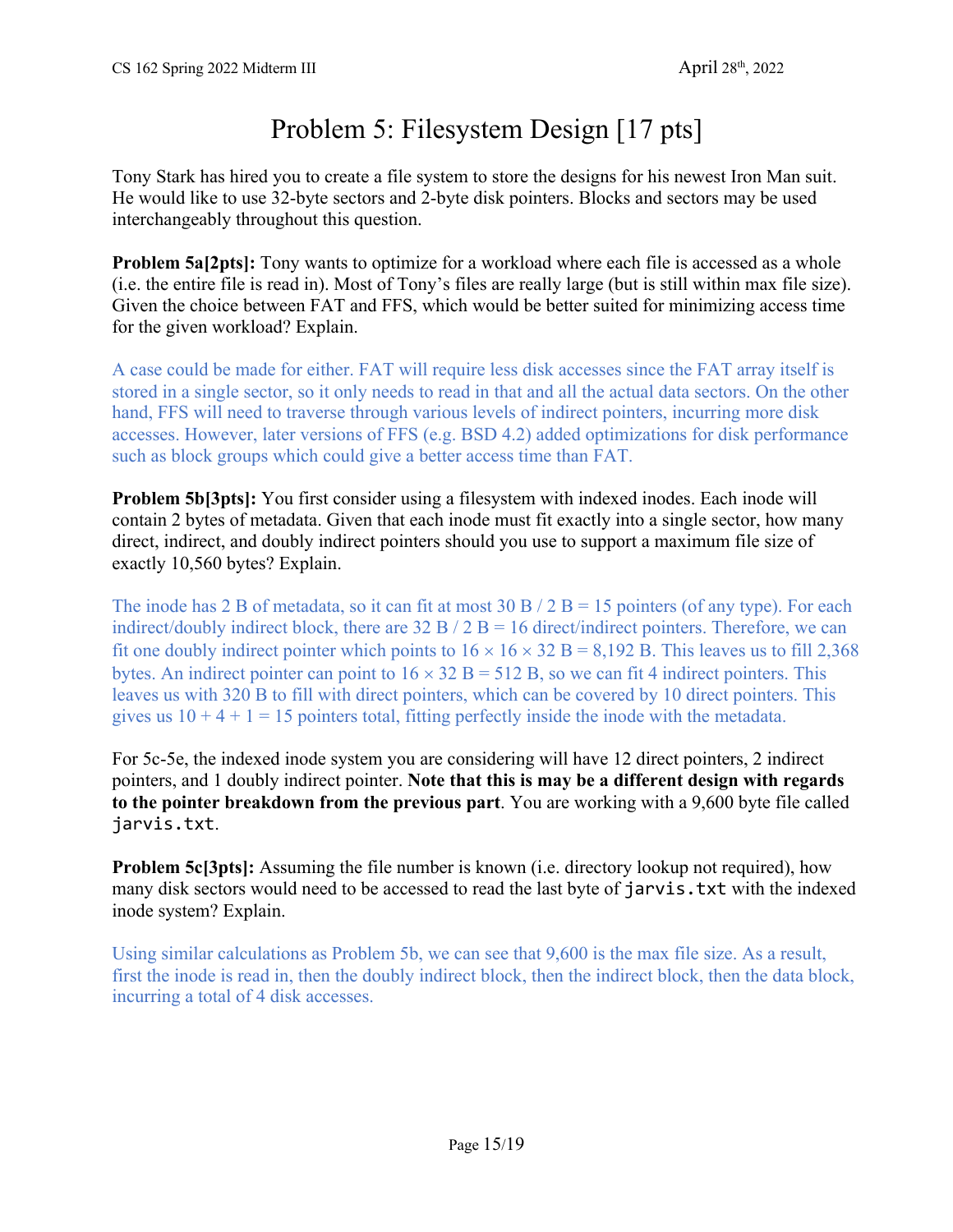## Problem 5: Filesystem Design [17 pts]

Tony Stark has hired you to create a file system to store the designs for his newest Iron Man suit. He would like to use 32-byte sectors and 2-byte disk pointers. Blocks and sectors may be used interchangeably throughout this question.

**Problem 5a[2pts]:** Tony wants to optimize for a workload where each file is accessed as a whole (i.e. the entire file is read in). Most of Tony's files are really large (but is still within max file size). Given the choice between FAT and FFS, which would be better suited for minimizing access time for the given workload? Explain.

A case could be made for either. FAT will require less disk accesses since the FAT array itself is stored in a single sector, so it only needs to read in that and all the actual data sectors. On the other hand, FFS will need to traverse through various levels of indirect pointers, incurring more disk accesses. However, later versions of FFS (e.g. BSD 4.2) added optimizations for disk performance such as block groups which could give a better access time than FAT.

**Problem 5b[3pts]:** You first consider using a filesystem with indexed inodes. Each inode will contain 2 bytes of metadata. Given that each inode must fit exactly into a single sector, how many direct, indirect, and doubly indirect pointers should you use to support a maximum file size of exactly 10,560 bytes? Explain.

The inode has 2 B of metadata, so it can fit at most  $30 B / 2 B = 15$  pointers (of any type). For each indirect/doubly indirect block, there are  $32 B / 2 B = 16$  direct/indirect pointers. Therefore, we can fit one doubly indirect pointer which points to  $16 \times 16 \times 32$  B = 8,192 B. This leaves us to fill 2,368 bytes. An indirect pointer can point to  $16 \times 32$  B = 512 B, so we can fit 4 indirect pointers. This leaves us with 320 B to fill with direct pointers, which can be covered by 10 direct pointers. This gives us  $10 + 4 + 1 = 15$  pointers total, fitting perfectly inside the inode with the metadata.

For 5c-5e, the indexed inode system you are considering will have 12 direct pointers, 2 indirect pointers, and 1 doubly indirect pointer. **Note that this is may be a different design with regards to the pointer breakdown from the previous part**. You are working with a 9,600 byte file called jarvis.txt.

**Problem 5c[3pts]:** Assuming the file number is known (i.e. directory lookup not required), how many disk sectors would need to be accessed to read the last byte of jarvis.txt with the indexed inode system? Explain.

Using similar calculations as Problem 5b, we can see that 9,600 is the max file size. As a result, first the inode is read in, then the doubly indirect block, then the indirect block, then the data block, incurring a total of 4 disk accesses.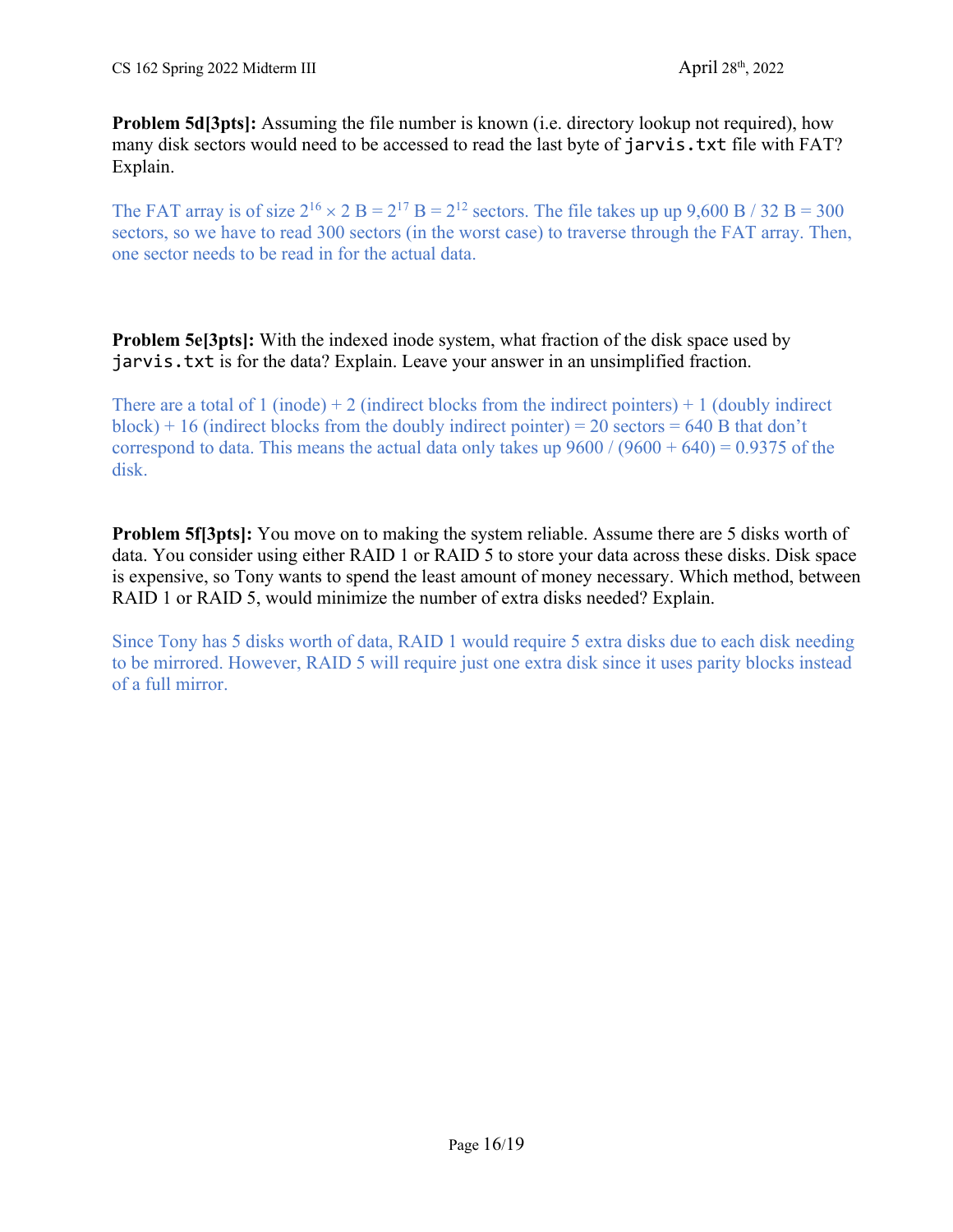**Problem 5d[3pts]:** Assuming the file number is known (i.e. directory lookup not required), how many disk sectors would need to be accessed to read the last byte of jarvis.txt file with FAT? Explain.

The FAT array is of size  $2^{16} \times 2$  B =  $2^{17}$  B =  $2^{12}$  sectors. The file takes up up 9,600 B / 32 B = 300 sectors, so we have to read 300 sectors (in the worst case) to traverse through the FAT array. Then, one sector needs to be read in for the actual data.

**Problem 5e[3pts]:** With the indexed inode system, what fraction of the disk space used by jarvis.txt is for the data? Explain. Leave your answer in an unsimplified fraction.

There are a total of 1 (inode) + 2 (indirect blocks from the indirect pointers) + 1 (doubly indirect block) + 16 (indirect blocks from the doubly indirect pointer) = 20 sectors = 640 B that don't correspond to data. This means the actual data only takes up  $9600 / (9600 + 640) = 0.9375$  of the disk.

**Problem 5f**[3pts]: You move on to making the system reliable. Assume there are 5 disks worth of data. You consider using either RAID 1 or RAID 5 to store your data across these disks. Disk space is expensive, so Tony wants to spend the least amount of money necessary. Which method, between RAID 1 or RAID 5, would minimize the number of extra disks needed? Explain.

Since Tony has 5 disks worth of data, RAID 1 would require 5 extra disks due to each disk needing to be mirrored. However, RAID 5 will require just one extra disk since it uses parity blocks instead of a full mirror.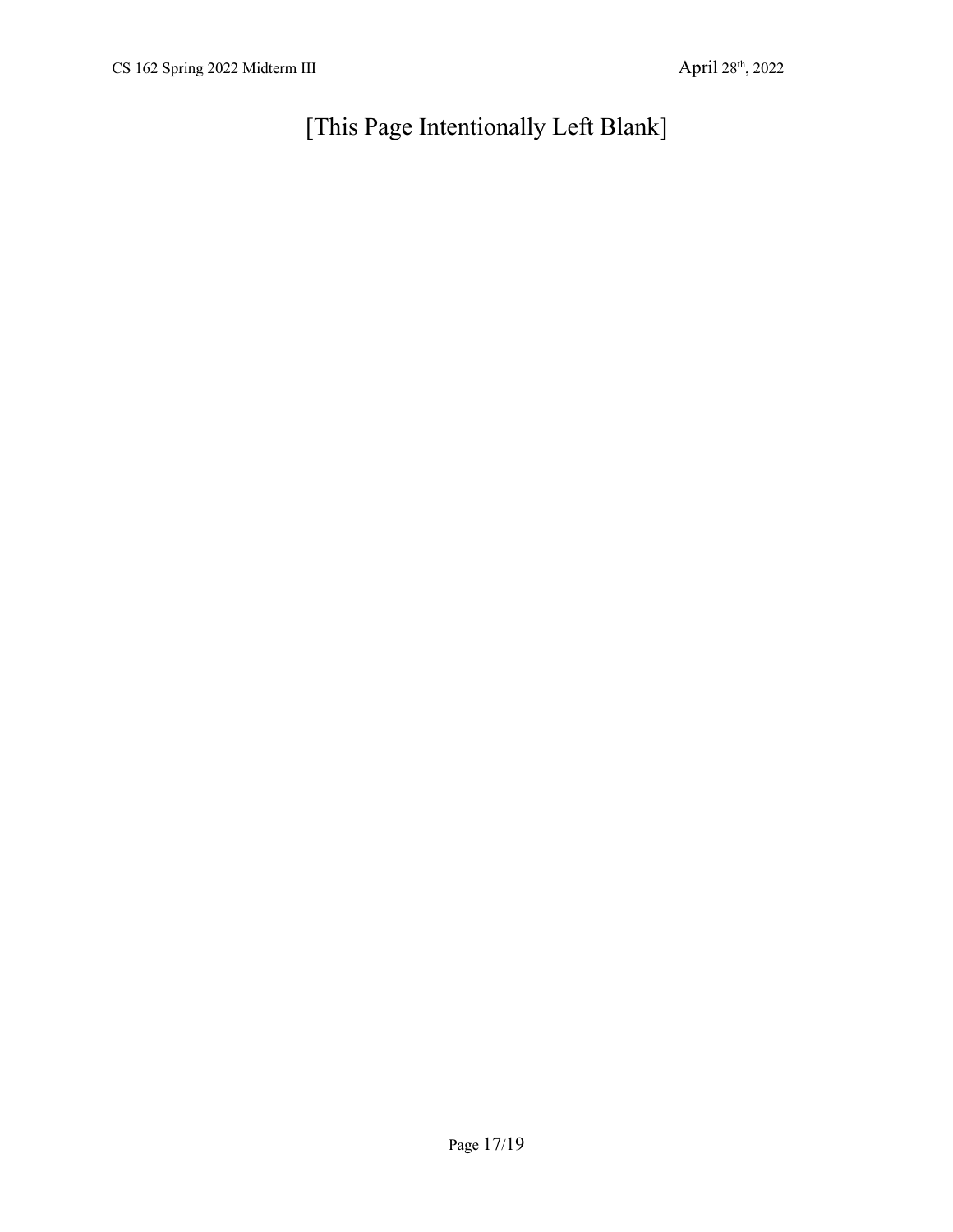## [This Page Intentionally Left Blank]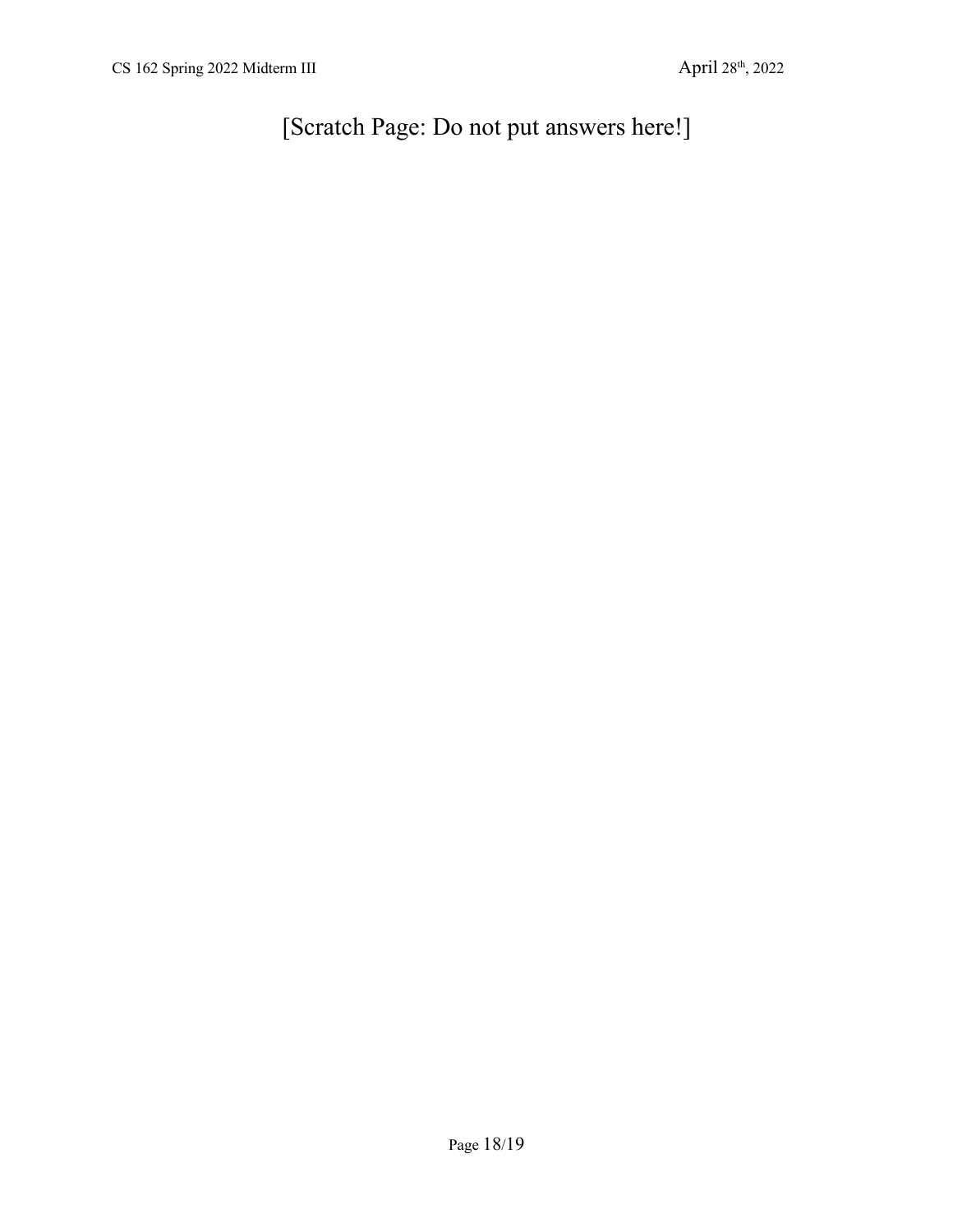[Scratch Page: Do not put answers here!]